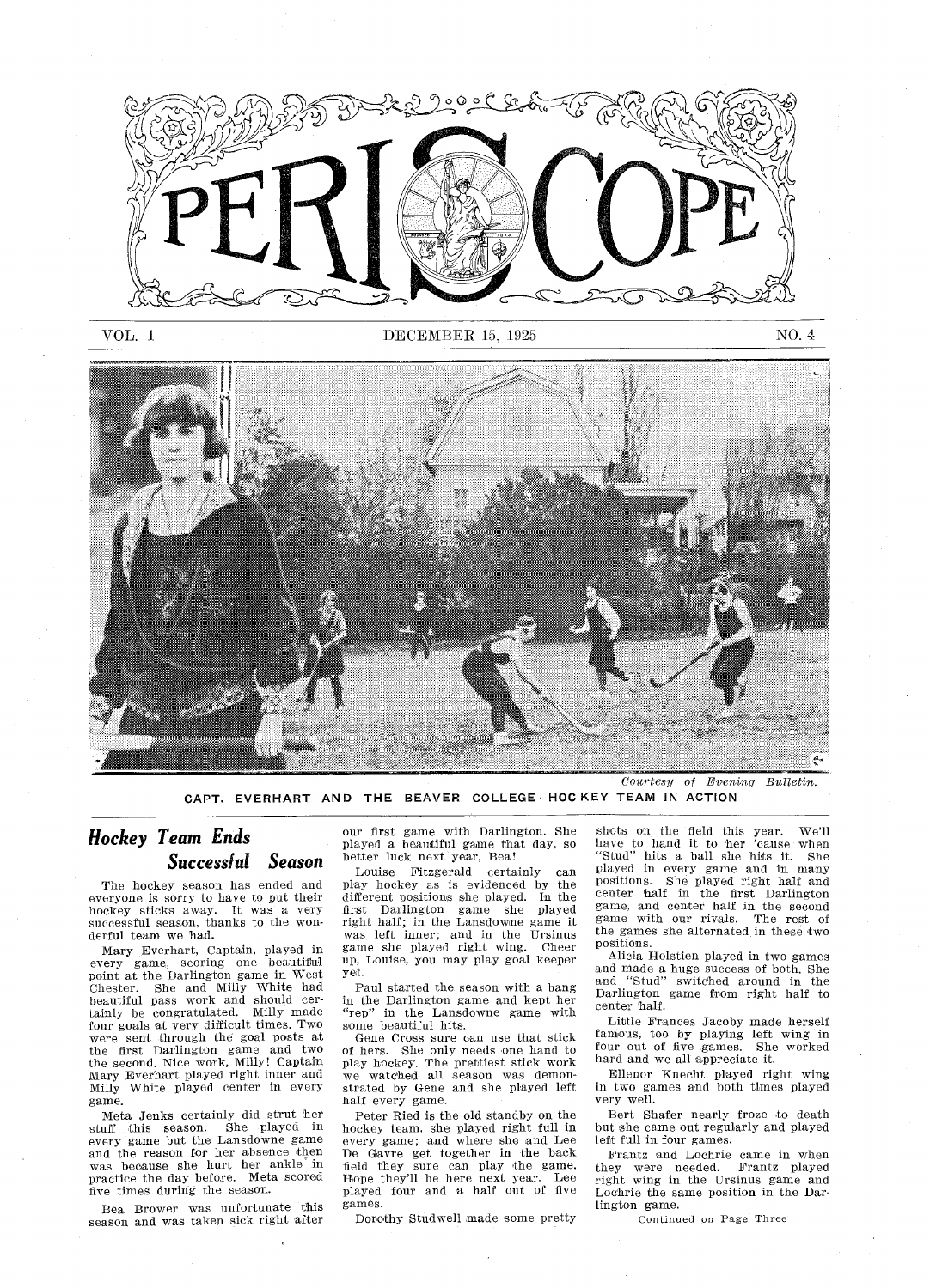

VOL. 1 DECEMBER 15, 1925 NO. 4



Courtesy of Evening Bulletin. CAPT. EVERHART AND THE BEAVER COLLEGE HOCKEY TEAM IN ACTION

#### Successlul Season Hockey Team Ends

The hockey season has ended and everyone is sorry to have to put their hockey sticks away. It was a very successful season, thanks to the wonderful team we had.

Mary Everhart, Captain, played in every game, scoring one beautiful point nt the Darlington game in West Chester. She and Milly White had beautiful pass work and should cer tainly be congratulated. Milly made four goals at very difficult times. Two were sent through the goal posts at the first Darlington game and two<br>the second, Nice work, Milly! Captain Mary Everhart played right inner and Milly White played center in ever game

Meta Jenks certainly did strut her stuff this season. She played in every game but the Lansdowne gam and the reason for her absence then was because she hurt her ankle in practice the day before. Meta scored five times during the season

Bea Brower was unfortunate this season and was taken sick right after our first game with Darlington. She played a beautiful game that day, so better luck next year, Bea!

Louise Fitzgerald certainly play hockey as is evidenced by the different positions she played in the first Darlington game she played right half; in the Lansdowne game it was left inner; and in the Ursinu game she played right wing. Chee up, Louise, you may play goal keeper yet

Paul started the season with a bang in the Darlington game and kept her "rep" in the Lansdowne game with some beautiful hits

Gene Cross sure can use that stick of hers. She only needs one hand to play hockey. The prettiest stick work we watched all season was demonstrated by Gene and she played left half every game.

Peter Ried is the old standby on the hockey team, she played right full in every game; and where she and Lee De Gavre get together in the back field they sure can play the game Hope they'll be here next year. Lee played four and a half out of five games

Dorothy Studwell made some pretty

shots on the field this year. We'll have to hand it to her cause when "Stud" hits a ball she hits it. She played in every game and in many positions. She played right half an<br>center half in the first Darlington game, and center half in the second game with our rivals. The rest of the games she alternated in these two positions

Alicia Holstien played in two games and made a huge success of both. She<br>and "Stud" switched around in the Darlington game from right half to center half

Little Frances Jacoby made herself famous, too by playing left wing in four out of five games. She worked hard and we all appreciate it

Ellenor Knecht played right wing in two games and both times played very well

Bert Shafer nearly froze to death but she came out regularly and played left full in four games.

Frantz and Lochrie came in when they were needed. Frantz playe right wing in the Ursinus game an Lochrie the same position in the Dar lington game

Continued on Page Three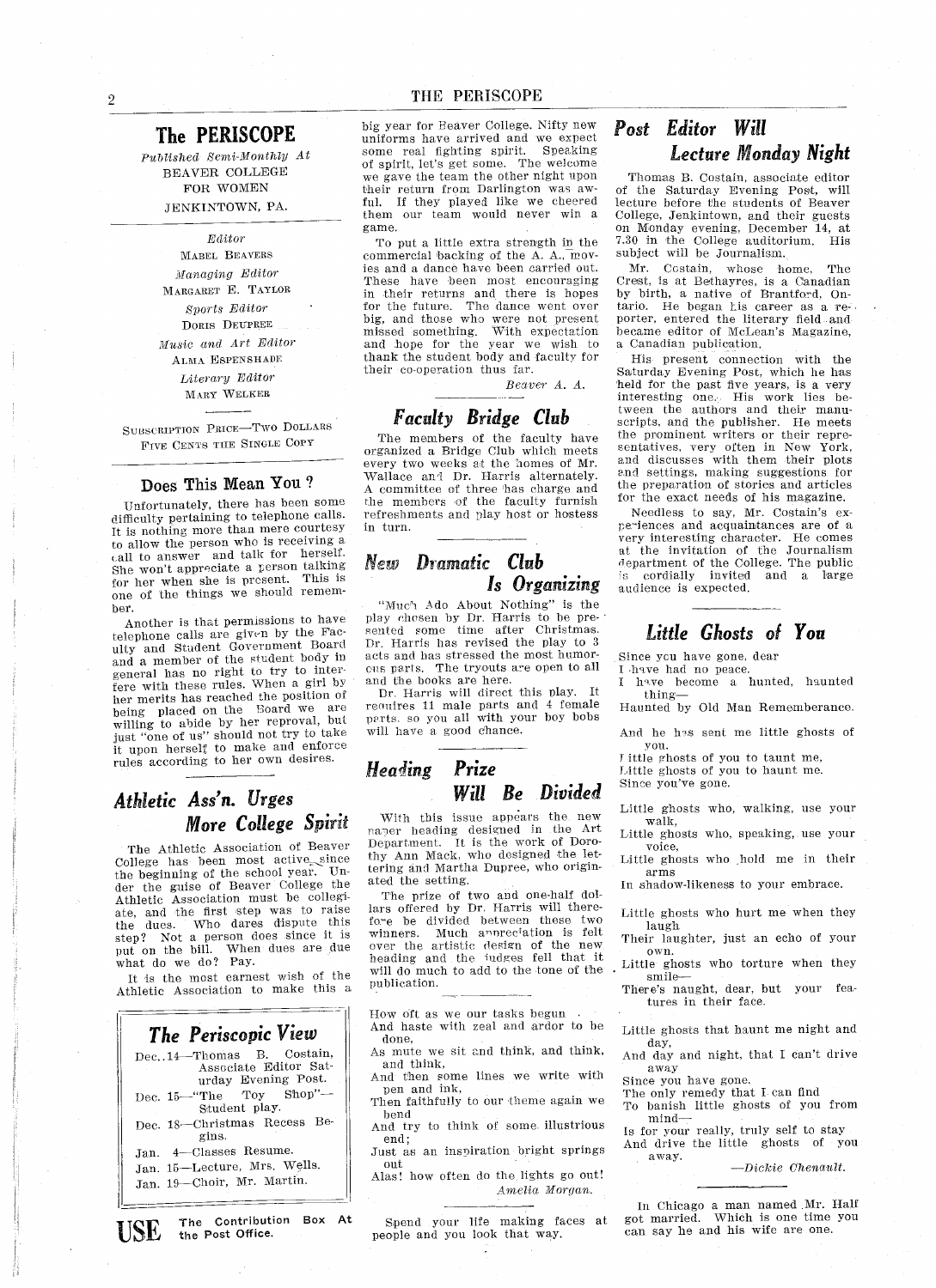#### The PERISCOPE

Published Semi-Monthly At BEAVER COLLEGE FOR WOMEN JENKINTOWN, PA.

> Editor MABEL BEAVERS Managing Editor MARGARET E. TAYLOR Svorts Editor DORIS DEUPREE Music and Art Editor ALMA ESPENSHADE Literary Editor MARY WELKER

SUBSCRIPTION PRICE-TWO DOLLARS FIVE CENTS TIlE SINGLE COPY

#### Does This Mean You

Unfortunately, there has been some difficulty pertaining to telephone calls It is nothing more than mere courtesy to allow the person who is receiving call to answer and talk for herself She won't appreciate a person talking for her when she is present. This is one of the things we should rememher

Another is that permissions to have telephone calls are givvn by the FaG ulty and Student Coveroment Board and member of the student body in general has no right to try to inter fere with these rules. When a girl by her merits has reached the position of being placed on the Board we are willing to abide by her reproval, but<br>just "one of us" should not try to take it upon herself to make and enforce rules according to her own desires

#### Athletic Ass'n. Urges More College Spirit

The Athletic Association of Beaver College has been most active since the beginning of the school year. Under the guise of Beaver College the Athletic Association must be collegi ate, and the first step was to raise the dues. Who dares dispute this step? Not a person does since it is put on the bill. When dues are due what do we do? Pay.

It is the most earnest wish of the Athletic Association to make this

| The Periscopic View                                                        |
|----------------------------------------------------------------------------|
| Dec. 14-Thomas B. Costain,<br>Associate Editor Sat-<br>urday Evening Post. |
| Dec. 15—"The Toy Shop"—<br>Student play.                                   |
| Dec. 18-Christmas Recess Be-<br>gins.                                      |
| Jan. 4-Classes Resume.                                                     |
| Jan. 15-Lecture, Mrs. Wells.                                               |
| Jan. 19-Choir, Mr. Martin.                                                 |
|                                                                            |

big year for Beaver College. Nifty new uniforms have arrived and we expect some real fighting spirit Speaking of spirit, let's get some. The welcome we gave the team the other night upon their return from Darlington was aw ful. If they played like we cheered them our team would never win a game

To put a little extra strength in the commercial backing of the A.A., movles and a dance have been carried out. These have been most encouraging in their returns and there is hope or the future. The dance went over big, and those who were not present missed something. With expectation and hope for the year we wish to thank the studeut body and faculty for their co-operation thus far

Beaver A. A.

#### Faculty Bridge Club

The members of the faculty have organized Bridge Club which meets every two weeks at the homes of Mr Wallace and Dr. Harris alternately. committee of three has charge and the members of the faculty furnish refreshments and play host or hostess in turn

#### New Dramatic Club Is Organizing

"Muc't Ado About Nothing" is the play chosen by Dr Harris to be pre sented some time after Christmas Dr. Harris has revised the play to 3 acts and has stressed the most humor ous parts. The tryouts are open to all and the books are here.

Dr. Harris will direct this play. It requires 11 male parts and 4 female parts, so you all with your boy bobs will have a good chance.

#### Heading Prize Will Be Divided

With this issue appears the new paoer heading designed in the Art Department. It is the work of Dorothy Ann Mack, who designed the lettering and Martha Dupree, who originated the setting

The prize of two and one-half dol lars offered by Dr Harris will there fore be divided between these two winners. Much annreciation is felt over the artistic design of the new beading and the iudges fell that it will do much to add to the tone of the publication.

How oft as we our tasks begun

- And haste with zeal and ardor to be done
- As mute we sit and think, and think, and think
- And then some lines we write with pen and ink
- Then faithfully to our theme again we bend
- And try to think of some illustrious end Just as an inspiration bright springs

out Alas! how often do the lights go out!

Amelia Morgan

### USE The Contribution Box At Spend your life making faces at got married. Which is one time people and you look that way, can say he and his wife are one.

#### Post Editor Will Lecture Monday Night

Thomas B. Costain, associate editor of the Saturday Evening Post, will<br>lecture before the students of Beaver College, Jenkintown, and their guests on Monday evening, December 14, at<br>7.30 in the College auditorium. His subject will be Journalism.

Mr. Costain, whose home, The Crest, is at Bethayres, is a Canadian<br>by birth, a native of Brantford, On-<br>tario. He began his career as a retario. He began his career as a re-<br>porter, entered the literary field and became editor of McLean's Magazine, Canadian publication

His present connection with the Saturday Evening Post, which he has held for the past five years, is a very interesting one His work lies be tween the authors and their manu scripts, and the publisher. He meets the prominent writers or their repre sentatives, very often in New York, and discusses with them their plots and settings, making suggestions for the preparation of stories and articles for the exact needs of his magazine

Needless to say, Mr. Costain's experiences and acquaintances are of a very interesting character. He comes at the invitation of the Journalism department of the College. The public cordially invited and a large audience is expected

#### Little Ghosts of You

Since you have gone, dear

have had no peace have become a hunted, haunted

thing Haunted by Old Man Rememberance

And he has sent me little ghosts of you

I ittle ghosts of you to taunt me,

Little ghosts of you to haunt me Since you've gone.

Little ghosts who, walking, use your walk

Little ghosts who, speaking, use your voice

Little ghosts who hold me in their arms

In shadow-likeness to your embrace.

Little ghosts who hurt me when they laugh

Their laughter, just an echo of your own.<br>Little ghosts who torture when they

smile

There's naught, dear, but your features in their face

Little ghosts that haunt me night and day

And day and night, that I can't drive away

Since yon have gone

- 
- The only remedy that can find To banish little ghosts of you from  $min_{s}$  mind  $\overline{\phantom{s}}$  is for your really, truly self to stay
- And drive the little ghosts of you

away.  $\qquad \qquad -Dickie \ \ \textit{Chenault}.$ 

In Chicago a man named Mr. Hal Spend your life making faces at got married Which is one time you

the Post Office.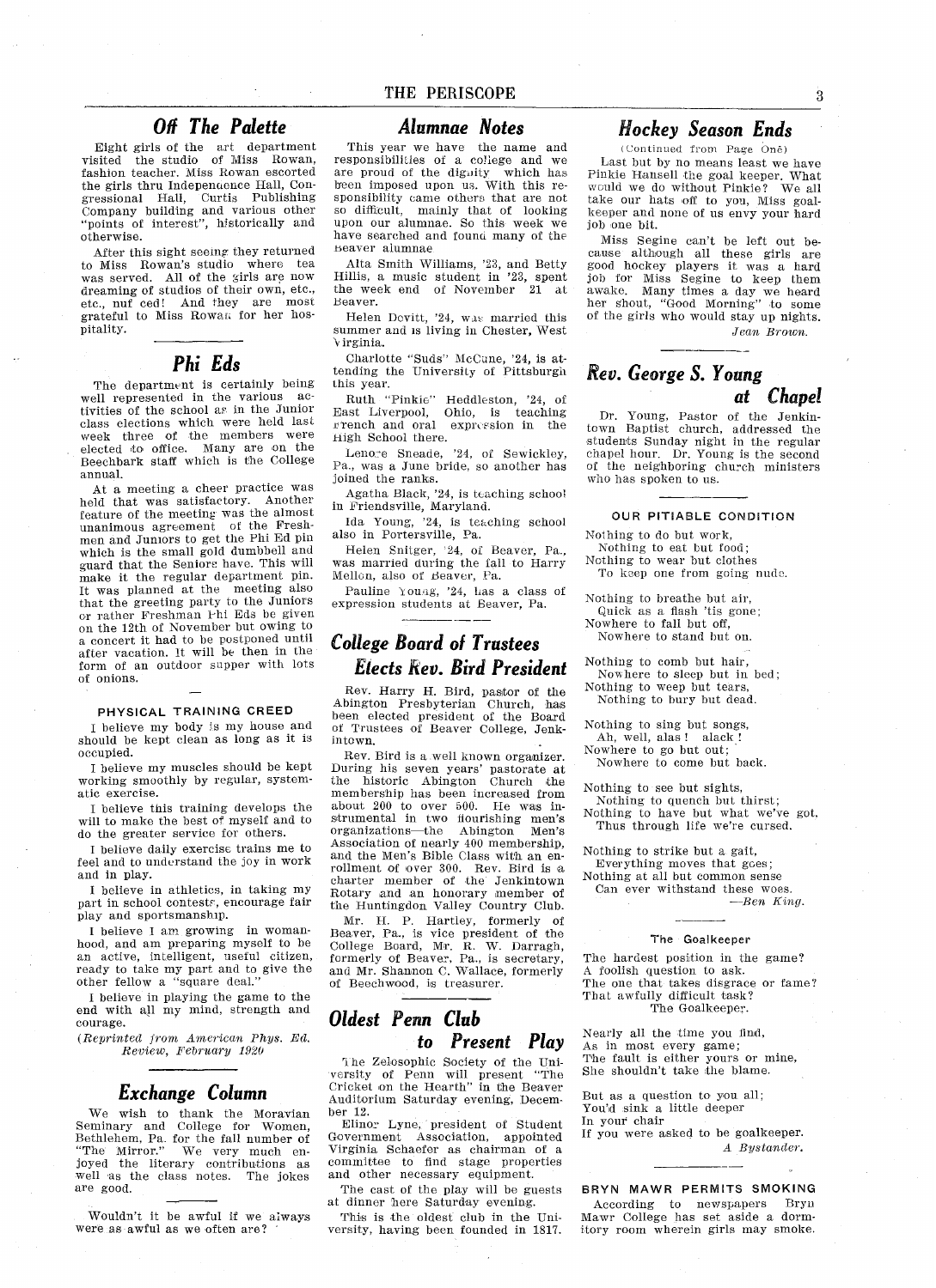#### Off The Palette

Eight girls of the art department visited the studio of Miss Rowan fashion teacher. Miss Rowan escorted the girls thru Independence Hall, Con gressional Hall, Curtis Publishin Company building and various other points of interest", historically and otherwise

After this sight seeing they returned to Miss Rowan's studio where tea was served. All of the girls are now dreaming of studios of their own, etc., etc., nuf ced! And they are most<br>grateful to Miss Rowan for her hos pitality

#### Phi Eds

The department is certainly being well represented in the various ac tivities of the school as in the Junio class elections which were held last week three of the members were elected to office. Many are on the Beechbark staff wbich is the College annual

At a meeting a cheer practice was held that was satisfactory. Another feature of the meeting was the almos unanimous agreement of the Fresh men and Juniors to get the Phi Ed piu which is the small gold dumbbell and guard that the Seniors have. This will make it the regular department pin It was planned at the meeting also that the greeting party to the Juniors cr rather Freshman Phi Eds be given on the 12th of November but owing to concert it had to be postponed until after vacation. It will be then in the form of an outdoor supper with lots of onions

#### PHYSICAL TRAINING CREED

believe my body is my house and should be kept clean as long as it is occupied

believe my muscles should be kept working smoothly by regular, systematic exercise

believe this training develops the will to make the best of myself and to do the greater service for others

believe daily exercise trains me to feel and to understand the joy in work and in play

I believe in athletics, in taking my part in school contests, encourage fair play and sportsmanship

I believe I am growing in womanhood, and am preparing myself to be an active, intelligent, useful citizen, ready to take my part and to give the other fellow a "square deal."

believe in playing the game to the end with all my mind, strength and courage

 $(Reprinted\ from\ American\ Phys.\ Ed.$ Review, February 1920

#### Exchange Column

We wish to thank the Moravia: Seminary and College for Women Bethlehem, Pa. for the fall number of "The Mirror." We very much en "The Mirror." We very much en-<br>joyed the literary contributions as well as the class notes. The jokes are good

Wouldn't it be awful if we always were as awful as we often are?

#### Alumnae Notes

This year we have the name and responsibilities of a college and we are proud of the dignity which has been imposed upon us With this re sponsibility came othere that are not so difficult, mainly that of looking upon our alumnae So this week we have searched and found many of the beaver alumnae

Alta Smith Williams,  $23$ , and Betty Hillis, a music student in '23, spent<br>the week end of November 21 at the week end of November Beaver

Helen Devitt, '24, was married this summer and is living in Chester, West *virginia.* 

Charlotte "Suds" McCune, '24, is attending the University of Pittsburgh this year

-- , .....<br>Ruth "Pinkie" Heddleston, '24, of East Liverpool, Ohio, is teachin strench and oral expression in the High School there.

Lenore Sneade, '24, of Sewickley, Pa., was a June bride, so another has joined the ranks

Agatha Black, '24, is teaching school in Friendsville, Maryland.

Ida Young, '24, is teaching schoo also in Portersville, Pa

Helen Snitger, 24, of Beaver, Pa., was married during the fall to Harry Mellon, also of Beaver, Pa.

Pauline Young, '24, has a class of expression students at Beaver, Pa.

#### College Board ol Trustees Elects Rev. Bird President

Rev. Harry H. Bird, pastor of the Abington Presbyterian Church has been elected president of the Board of Trustees of Beaver College, Jenkintown

Rev. Bird is a well known organizer. .<br>Unity the historic Abington Church the<br>the historic Abington Church the membership has been increased from about 200 to over 500. He was instrumental in two flourishing men's organizations—the Abington Men's<br>Association of nearly 400 membership and the Men's Bible Class with an enrollment of over 300. Rev. Bird is a charter member of the Jenkintown Rotary and an honorary member of the Huntingdon Valley Country Club

Mr. H. P. Hartley, formerly of Beaver, Pa., is vice president of the<br>College Board, Mr. R. W. Darragh<br>formerly of Beaver, Pa., is secretary and Mr. Shannon C. Wallace, formerly of Beechwood, is treasurer.

#### Oldest Penn Club to Present Play

The Zelosophic Society of the Uniersity of Penn will present "The versity of Penn will present "The<br>Cricket on the Hearth" in the Beaver Auditorium Saturday evening, December 12

Elinor Lyne, president of Student Government Association, appointed Virginia Schaefer as chairman of committee to find stage propertie and other necessary equipmen

The cast of the play will be guests at dinner here Saturday evening.

This is the oldest club in the Uni versity, having been founded in 1817.

#### Hockey Season Ends

Continued trom Page One Last but by no means least we have Pinkie Hansell the goal keeper. What would we do without Pinkie? We all take our hats off to you, Miss goalkeeper and none of us envy your hard job one bit

Miss Segine can't be left out because although all these girls are good hockey players it was a hard job for Miss Segine to keep them awake. Many times a day we hear her shout, "Good Morning" to some of the girls who would stay up nights Jean Brown.

#### Rev. George S. Young at Chapel

Dr. Young, Pastor of the Jenkintown Baptist church addressed the students Sunday night in the regular<br>chapel hour. Dr. Young is the second of the neighboring church ministers who has spoken to us

#### OUR PITIABLE CONDITION

Nothing to do but work.

Nothing to eat but food;

Nothing to wear but clothes

To keep one from going nude.

- Nothing to breathe but air
	- Quick as a flash 'tis gone;
- Nowhere to fall but off
	- Nowhere to stand but on
- Nothing to comb hut hair
- Nowhere to sleep but in bed Nothing to weep but tears
- Nothing to bury but dead.
- Nothing to sing but songs
- Ah, well, alas ! alack !
- Nowhere to go but out
- Nowhere to come hut back
- Nothing to see but sights Nothing to quench but thirst:
- Nothing to have but what we've got, Thus through life we're cursed.

Nothing to strike but a gait, Everything moves that goes

Nothing at all but common sense Can ever withstand these woes

 $-Ben$  King.

#### The Goalkeeper

The hardest position in the game? A foolish question to ask. The one that takes disgrace or fame? That awfully difficult task? The Goalkeeper

Nearly all the time you find As in most every game The fault is either yours or mine She shouldn't take the blame.

But as a question to you all; You'd sink a little deeper In your chair

If you were asked to be goalkeeper A Bystander.

BRYN MAWR PERMITS SMOKING According to newspapers Bryn Mawr College has set aside a dormitory room wherein girls may smoke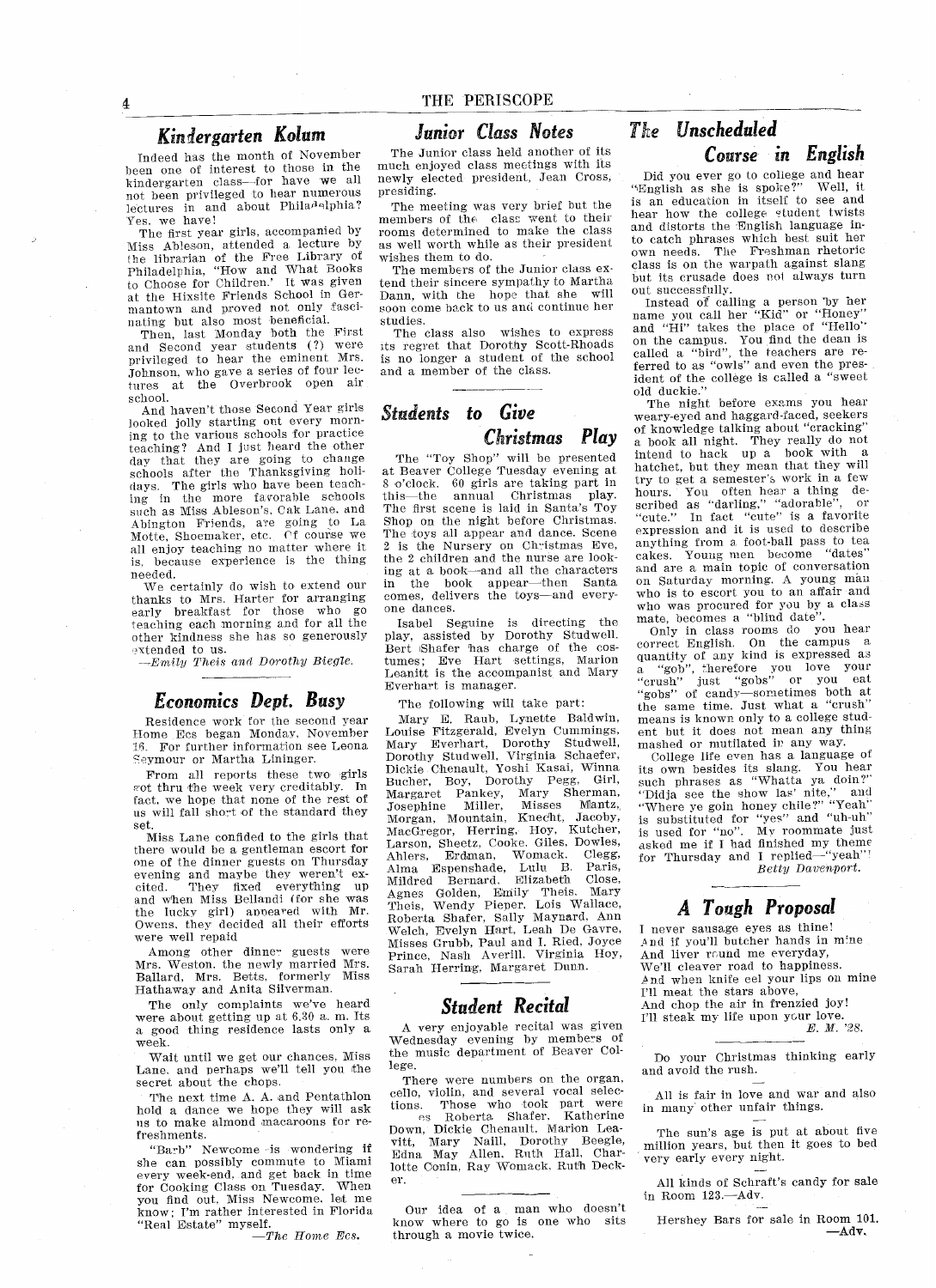#### Kindergarten Koluni

Indeed has the month of November been one of interest to those in the kindergarten class-for have we all not been privileged to hear numerous lectures in and about Phila<sup>d</sup>elphia Yes, we have

The first year girls, accompanied by Miss Ableson, attended a lecture by the librarian of the Free Library of rhiladelphia, "How and What Book<br>to Choose for Children.' It was given at the Hixsite Friends School in Ger mantown and proved not only fascinating but also most beneficial

Then, last Monday both the First and Second year students (?) were<br>privileged to hear the eminent Mrs Johnson, who gave a series of four lectures at the Overbrook open air school

And haven't those Second Year girls looked jolly starting out every morning to the various schools for practice teaching? And I just heard the other day that they are going to change schools after the Thanksgiving holi days. The girls who have been teaching in the more favorable schools such as Miss Ableson's, Cak Lane, and Abington Friends, are going to La Motte, Shoemaker, etc. Cf course we all enjoy teaching no matter where it is because experience is the thing needed

We certainly do wish to extend our thanks to Mrs. Harter for arranging early breakfast for those who go teaching each morning and for all the other kindness she has so generously extended to us.

 $-Emily$  Theis and Dorothy Biegle.

#### Economics Dept. Busy

Residence work for the second year Home Ecs began Monday, November 16. For further information see Leona Seymour or Martha Lininger.

From all reports these two girls got thru the week very creditably. In fact, we hope that none of the rest of us will fall short of the standard they set

Miss Lane confided to the girls that there would be gentleman escort for one of the dinner guests on Thursday evening and maybe they weren't excited. They fixed everything up<br>and when Miss Bellandi (for she was and when miss Behand (for she was<br>the lucky girl) appeared with Mr.<br>Owens, they decided all their efforts were well repaid

Among ether dinner guests were Mrs. Weston, the newly married Mrs. Ballard, Mrs. Betts, formerly Mis Hathaway and Anita Silverman

The only complaints we've heard were about getting up at 6.30 a.m. Its a good thing residence lasts only a week

Wait until we get our chances, Miss Lane, and perhaps we'll tell you the secret about the chops

The next time A. A. and Pentathlon held dance we hope they will ask us to make almond macaroons for re freshments

"Barb" Newcome is wondering if she can possibly commute to Miam every week-end, and get back in time for Cooking Class on Tuesday. When you find out, Miss Newcome. let me know; I'm rather interested in Florida "Real Estate" myself.<br> $-\text{The Home Ec}$ 

#### Junior Class Notes

The Junior class held another of its much enjoyed class meetings with its newly elected president, Jean Cross, presiding

The meeting was very brief but the members of the clasu went to their rooms determined to make the class as well worth while as their president wishes them to do

The members of the Junior class ex tend their sincere sympathy to Martha Dann, with the hope that she will soon come back to us and continue her studies

The class also wishes to express its regret that Dorothy Scott-Rhoads is no longer a student of the school and a member of the class.

#### Students to Give

#### Christmas Play

The "Toy Shop" will be presented<br>at Beaver College Tuesday evening at s o'clock. 60 girls are taking part in<br>this—the annual Christmas play The first scene is laid in Santa's Toy Shop on the night before Christmas. The toys all appear and dance Scene 2 is the Nursery on Christmas Eve, the 2 children and the nurse are looking at a book-and all the characters in the book appear—then Santa<br>comes, delivers the toys—and every one dances

Isabel Seguine is directing the play, assisted by Dorothy Studwell Bert Shafer has charge of the cos tumes; Eve Hart settings, Marion<br>Leanitt is the accompanist and Mary Everhart is manager

The following will take part:

Mary E. Raub, Lynette Baldwin Louise Fitzgerald, Evelyn Cummings, Mary Everhart Dorothy Studwell Dorothy Studweil Virginia Schaefer Dickie Chenault, Yoshi Kasai, Winna Bucher, Boy, Dorothy Pegg, Girl Margaret Pankey, Mary Sherma Josephine Miller Misses Mantz Morgan, Mountain, Knecht, Jacoby MacGregor, Herring, Hoy, Kutcher, Larson, Sheetz, Cooke, Giles, Dowles,<br>Ahlers. Erdman, Womack, Clegg, Ahlers, Erdman, Womack, Clegg Alma Espenshade, Lulu B. Paris<br>Mildred Bernard, Elizabeth Close Agnes Golden, Emily Theis. Mary ragies, Wendy Pieper, Lois Wallace<br>Roberta Shafer, Sally Maynard, An Welch Evelyn Hart Leab Dc Gaxre Misses Grubb, Paul and I. Ried, Joyce wisses Grubb, radi and r. rice, 5373<br>Prince, Nash Averill. Virginia Hoy sarah Herring, Margaret Dunn

#### Student Recital

A very enjoyable recital was given Wednesday evening by members of the music department of Beaver Col lege.

There were numbers on the organ, cello, violin, and several vocal selec-

tions. Those who took part were<br>es Roberta Shafer, Katherine Roberta Shafer. Down, Dickie Chenault, Marion Leavitt, Mary Naill, Dorothy Beegle<br>Edna May Allen, Ruth Hall, Char lotte Conin, Ray Womack, Ruth Deck er

Our idea of a man who doesn't knew where to go is one who sits through a movie twice.

## The Unscheduled

Course in English

Did you ever go to college and hear<br>"English as she is spoke?" Well, it is an education in itself to see and hear hew the college student twists and distorts the English language in to catch phrases which best suit her own needs The Fteshman rhetoric class is on the warpath against slang but its crusade does not always turn out successfully.

Instead of calling a person by her<br>name you call her "Kid" or "Honey"<br>and "Hi" takes the place of "Hello" on the campus. You find the dean is<br>called a "bird", the teachers are referred to as "owls" and even the president of the college is called a "sweet old duckie

The night before exams you hear weary-eyed and haggard-faced, seekers of knowledge talking about "cracking" a book all night. They really do not<br>intend to hack up a book with a hatchet, but they mean that they will try to get a semester's work in a few hours. You often hear a thing de<br>scribed as "darling," "adorable", or scribed as darling, additable,<br>"cute." In fact "cute" is a favori expression and it is used to describe<br>expression and it is used to describe expression and it is assail pass to tea<br>cakes. Young men become "dates" and are a main topic of conversation on Saturday morning. A young man who is to escort you to an affair and who was procured for you by a class<br>mate, becomes a "blind date".

Only in class rooms do you hear correct English. On the campus a quantity of any kind is expressed as<br>a "gob", therefore you love your<br>"crush" just "gobs" or you eat "gobs" of candy—sometimes both at the same time. Just what a "crush" means is known only to a college student but it does not mean any thing mashed or mutilated in any way.

College life even has a language of its own besides its slang. You hearly such phrases as "Whatta ya doin?" Such phrases as whatca ya chile.<br>"Didja see the show las' nite," and<br>"Where ye goin honey chile?" "Yeah" where ye goin noney enne? Tean<br>is substituted for "yes" and "uh-uh"<br>is used for "no". My roommate just asked me if I had finished my theme<br>for Thursday and I replied—"yeah" Betty Davenport.

#### Tough Proposal

I never sausage eyes as thine! And if you'll butcher hands in mine And liver round me everyday, We'll cleaver road to happiness. And when knife eel your lips en mine I'll meat the stars above, And chop the air in frenzied joy I'll steak my life upon your love.

E. M. '28.

Do your Christmas thinking early and avoid the rush.

All is fair in love and war and also in many other unfair things

The sun's age is put at about five million years but then it goes to bed very early every night

All kinds of Schraft's candy for sale in Room  $123$ -Adv.

Hershey Bars for sale in Room <sup>101</sup>  $-{\rm Adv}$ .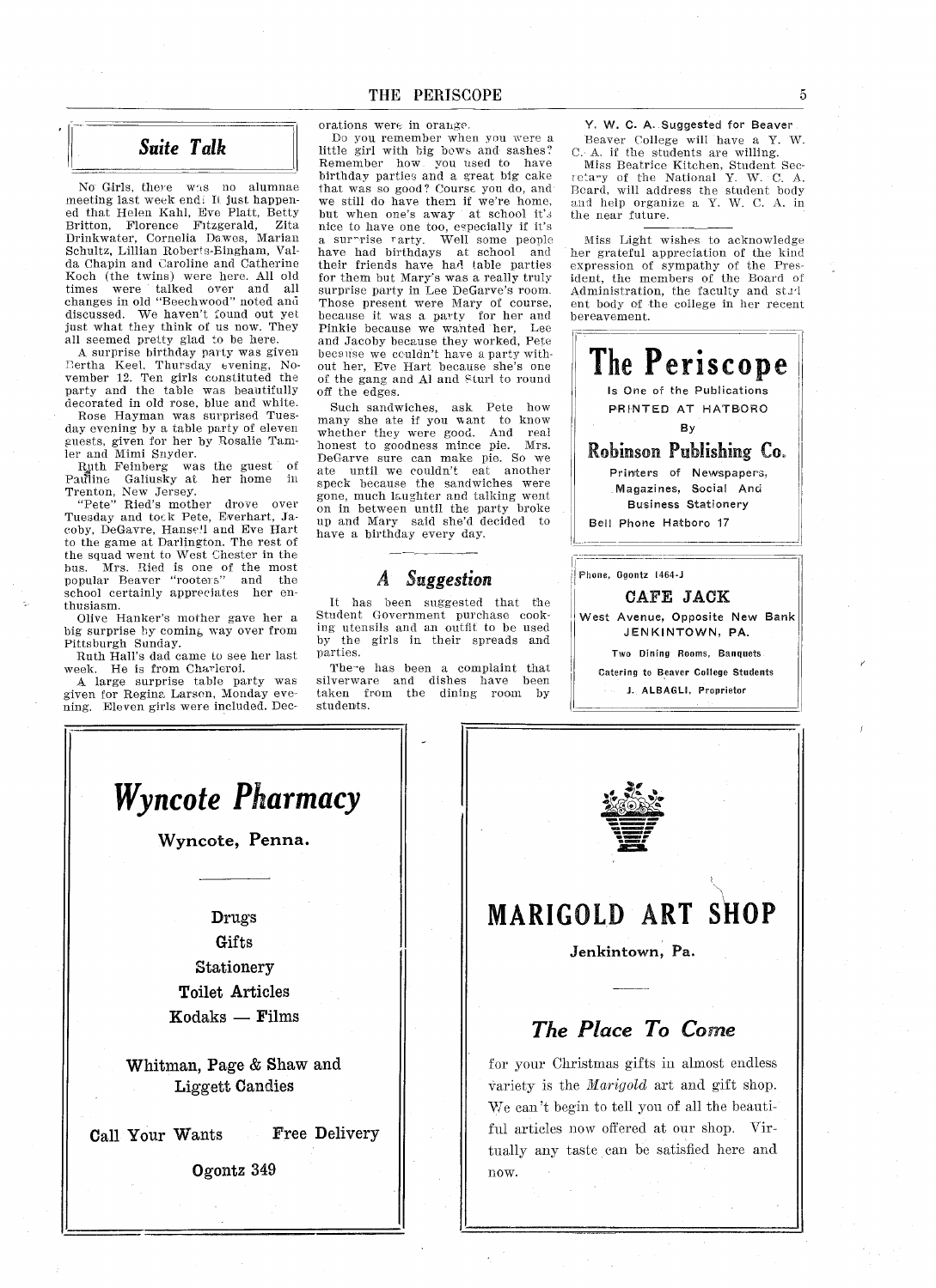#### Suite Talk

No Girls, there was no alumnae meeting last week end. It just happe ed that Helen Kahl, Eve Platt, Bett Britton, Florence Fitzgerald, Zita<br>Drinkwater, Cornelia Dawes, Marian Schultz, Lillian Roberts-Bingham, Valda Chapin and Caroline and Catherine Koch (the twins) were here. All old times were talked over and all changes in old "Beechwood" noted and discussed. We haven't found out yet just what they think of us now. They all seemed pretty glad to be here.

A surprise birthday party was given Bertha Keel, Thursday evening, November 12. Ten girls constituted the party and the table was beautifully decorated in old rose, blue and white.

Rose Hayman was surprised Tues day evening by a table party of eleven guests, given for her by Rosalie Tamler and Mimi Snyder

ier and winn Shyder.<br>- Ruth Feinberg was the guest of<br>Pauline Galiusky at her home in Trenton, New Jersey.<br>"Pete" Ried's mother drove ove

Tuesday and tock Pete, Everhart, Ja coby, DeGavre, Hanse.ll and Eve Hart to the game at Darlington. The rest of the squad went to West Chester in the bus. Mrs. Ried is one of the most popular Beaver "rooters" and the school certainly appreciates her en thusiasm

Olive Hanker's mother gave her a big surprise by coming way over from Pittsburgh Sunday

Ruth Hall's dad came to see her last week He is from Charieroi

large surprise table party was given for Regina Larson Monday eve ning. Eleven girls were included. Decorations were in orange

Do you remember when you were little girl with big howe and sashes Remember how you used to have birthday parties and a great big cake that was so good? Course you do, and we still do have them if we're home, but when one's away at school it's nice to have one too, especially if it's a surrise rarty. Well some people have had birthdays at school and their friends have had lable parties for them but Mary's was a really truly surprise party in Lee DeGarve's room. Those present were Mary of course because it was a party for her and Pinkie because we wanted her, Le and Jacoby because they worked, Pete because we couldn't have a party without her, Eve Hart because she's one of the gang and Al and Sturl to round off the edges

Such sandwiches, ask Pete how many she ate if you want to know whether they were good. And real honest to goodness mince pie. Mrs. DeCarve sure can make pie So we ate until we couldn't eat another speck because the sandwiches were gone, much laughter and talking went on in between until the party brok up and Mary said she'd decided to have a birthday every day.

#### Suggestion

It has been suggested that the Student Government purchase cook ing utensils and an outfit to be used<br>by the girls in their spreads and the girls in their spreads and parties

There has been a complaint that silverware and dishes have bee taken from the dining room by students

Y. W. C. A. Suggested for Beaver Beaver College will have a Y. W. C. A. if the students are willing.

Miss Beatrice Kitchen, Student Sec<br>retary of the National Y. W. C. A Beard, will address the student bod and help organize a Y. W. C. A. in the near future.

Miss Light wishes to acknowledge her grateful appreciation of the kind expression of sympathy of the Pres ident, the members of the Board of Administration, the faculty and stud eat body of the college in her recent bereavement



West Avenue, Opposite New Bank JENKINTOWN, PA.

Two Dining Rooms, Banquets Catering to Beaver College Studento J. ALBAGLI, Proprietor